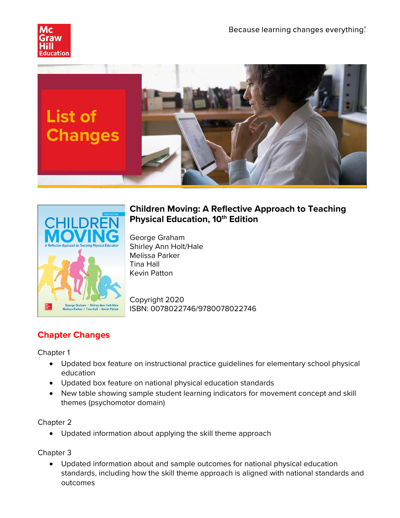





# **Children Moving: A Reflective Approach to Teaching Physical Education, 10<sup>th</sup> Edition**

George Graham Shirley Ann Holt/Hale Melissa Parker Tina Hall Kevin Patton

Copyright 2020 ISBN: 0078022746/9780078022746

# **Chapter Changes**

Chapter 1

- Updated box feature on instructional practice guidelines for elementary school physical education
- Updated box feature on national physical education standards
- New table showing sample student learning indicators for movement concept and skill themes (psychomotor domain)

Chapter 2

• Updated information about applying the skill theme approach

Chapter 3

• Updated information about and sample outcomes for national physical education standards, including how the skill theme approach is aligned with national standards and outcomes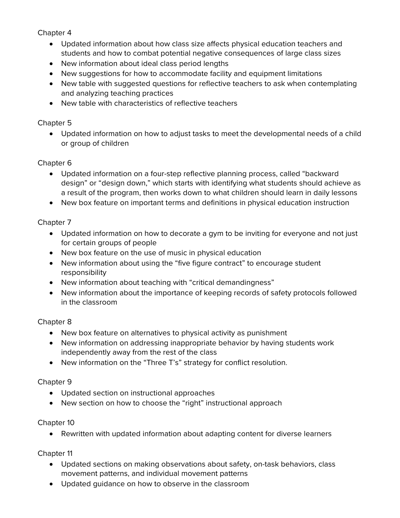## Chapter 4

- Updated information about how class size affects physical education teachers and students and how to combat potential negative consequences of large class sizes
- New information about ideal class period lengths
- New suggestions for how to accommodate facility and equipment limitations
- New table with suggested questions for reflective teachers to ask when contemplating and analyzing teaching practices
- New table with characteristics of reflective teachers

## Chapter 5

• Updated information on how to adjust tasks to meet the developmental needs of a child or group of children

## Chapter 6

- Updated information on a four-step reflective planning process, called "backward design" or "design down," which starts with identifying what students should achieve as a result of the program, then works down to what children should learn in daily lessons
- New box feature on important terms and definitions in physical education instruction

# Chapter 7

- Updated information on how to decorate a gym to be inviting for everyone and not just for certain groups of people
- New box feature on the use of music in physical education
- New information about using the "five figure contract" to encourage student responsibility
- New information about teaching with "critical demandingness"
- New information about the importance of keeping records of safety protocols followed in the classroom

## Chapter 8

- New box feature on alternatives to physical activity as punishment
- New information on addressing inappropriate behavior by having students work independently away from the rest of the class
- New information on the "Three T's" strategy for conflict resolution.

## Chapter 9

- Updated section on instructional approaches
- New section on how to choose the "right" instructional approach

## Chapter 10

• Rewritten with updated information about adapting content for diverse learners

## Chapter 11

- Updated sections on making observations about safety, on-task behaviors, class movement patterns, and individual movement patterns
- Updated guidance on how to observe in the classroom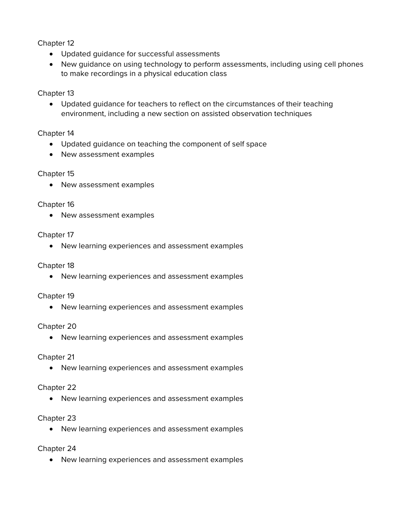Chapter 12

- Updated guidance for successful assessments
- New guidance on using technology to perform assessments, including using cell phones to make recordings in a physical education class

## Chapter 13

• Updated guidance for teachers to reflect on the circumstances of their teaching environment, including a new section on assisted observation techniques

## Chapter 14

- Updated guidance on teaching the component of self space
- New assessment examples

## Chapter 15

• New assessment examples

## Chapter 16

• New assessment examples

## Chapter 17

• New learning experiences and assessment examples

## Chapter 18

• New learning experiences and assessment examples

## Chapter 19

• New learning experiences and assessment examples

## Chapter 20

• New learning experiences and assessment examples

## Chapter 21

• New learning experiences and assessment examples

## Chapter 22

• New learning experiences and assessment examples

## Chapter 23

• New learning experiences and assessment examples

## Chapter 24

• New learning experiences and assessment examples